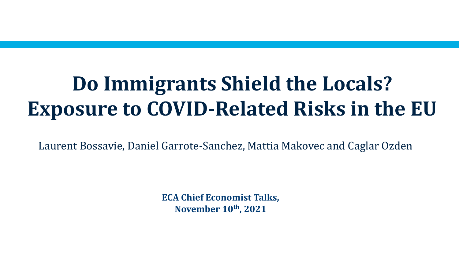# **Do Immigrants Shield the Locals? Exposure to COVID-Related Risks in the EU**

Laurent Bossavie, Daniel Garrote-Sanchez, Mattia Makovec and Caglar Ozden

**ECA Chief Economist Talks, November 10th, 2021**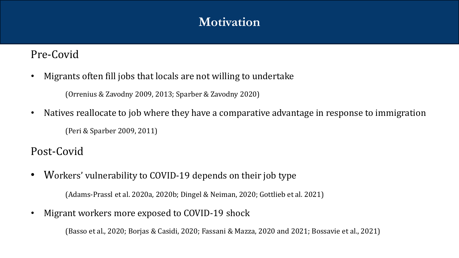# **Motivation**

## Pre-Covid

• Migrants often fill jobs that locals are not willing to undertake

(Orrenius & Zavodny 2009, 2013; Sparber & Zavodny 2020)

• Natives reallocate to job where they have a comparative advantage in response to immigration (Peri & Sparber 2009, 2011)

# Post-Covid

• Workers' vulnerability to COVID-19 depends on their job type

(Adams-Prassl et al. 2020a, 2020b; Dingel & Neiman, 2020; Gottlieb et al. 2021)

• Migrant workers more exposed to COVID-19 shock

(Basso et al., 2020; Borjas & Casidi, 2020; Fassani & Mazza, 2020 and 2021; Bossavie et al., 2021)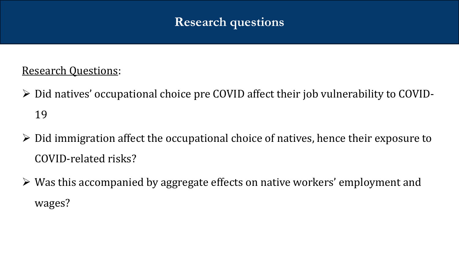# **Research questions**

# Research Questions:

- Did natives' occupational choice pre COVID affect their job vulnerability to COVID-19
- $\triangleright$  Did immigration affect the occupational choice of natives, hence their exposure to COVID-related risks?
- Was this accompanied by aggregate effects on native workers' employment and wages?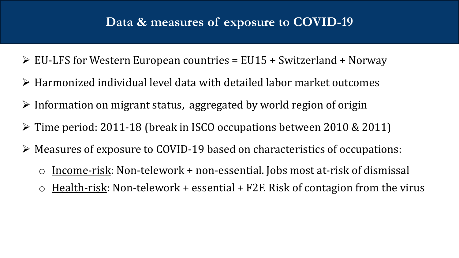# Data & measures of exposure to COVID-19

- $\triangleright$  EU-LFS for Western European countries = EU15 + Switzerland + Norway
- $\triangleright$  Harmonized individual level data with detailed labor market outcomes
- $\triangleright$  Information on migrant status, aggregated by world region of origin
- $\triangleright$  Time period: 2011-18 (break in ISCO occupations between 2010 & 2011)
- Measures of exposure to COVID-19 based on characteristics of occupations:
	- $\circ$  Income-risk: Non-telework + non-essential. Jobs most at-risk of dismissal
	- $\circ$  Health-risk: Non-telework + essential + F2F. Risk of contagion from the virus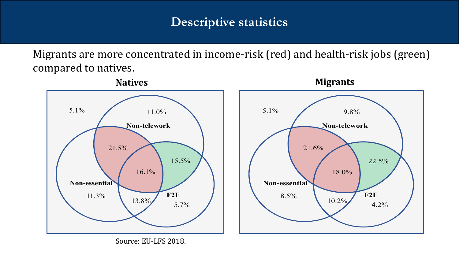# **Descriptive statistics**

Migrants are more concentrated in income-risk (red) and health-risk jobs (green) compared to natives.



Source: EU-LFS 2018.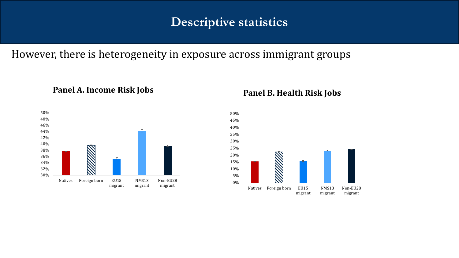# **Descriptive statistics**

### However, there is heterogeneity in exposure across immigrant groups



#### **Panel A. Income Risk Jobs Panel B. Health Risk Jobs**

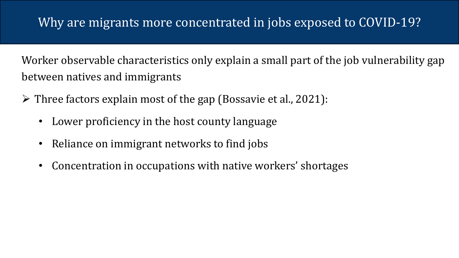Worker observable characteristics only explain a small part of the job vulnerability gap between natives and immigrants

- $\triangleright$  Three factors explain most of the gap (Bossavie et al., 2021):
	- Lower proficiency in the host county language
	- Reliance on immigrant networks to find jobs
	- Concentration in occupations with native workers' shortages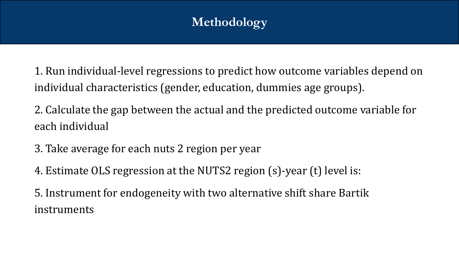# **Methodology**

1. Run individual-level regressions to predict how outcome variables depend on individual characteristics (gender, education, dummies age groups).

2. Calculate the gap between the actual and the predicted outcome variable for each individual

- 3. Take average for each nuts 2 region per year
- 4. Estimate OLS regression at the NUTS2 region (s)-year (t) level is:

5. Instrument for endogeneity with two alternative shift share Bartik instruments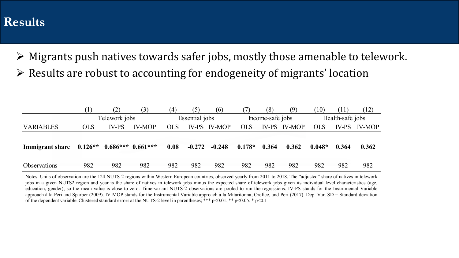# Results

- Migrants push natives towards safer jobs, mostly those amenable to telework.
- $\triangleright$  Results are robust to accounting for endogeneity of migrants' location

|                                           |            | .Z)           | (3)           | (4)        | (5)            | (6)                 |            | (8)              | (9)                 | (10)       | (11)             | (12)          |
|-------------------------------------------|------------|---------------|---------------|------------|----------------|---------------------|------------|------------------|---------------------|------------|------------------|---------------|
|                                           |            | Telework jobs |               |            | Essential jobs |                     |            | Income-safe jobs |                     |            | Health-safe jobs |               |
| <b>VARIABLES</b>                          | <b>OLS</b> | <b>IV-PS</b>  | <b>IV-MOP</b> | <b>OLS</b> |                | <b>IV-PS IV-MOP</b> | <b>OLS</b> |                  | <b>IV-PS IV-MOP</b> | <b>OLS</b> | IV-PS            | <b>IV-MOP</b> |
|                                           |            |               |               |            |                |                     |            |                  |                     |            |                  |               |
| Immigrant share 0.126** 0.686*** 0.661*** |            |               |               | 0.08       | $-0.272$       | $-0.248$            | $0.178*$   | 0.364            | 0.362               | $0.048*$   | 0.364            | 0.362         |
|                                           |            |               |               |            |                |                     |            |                  |                     |            |                  |               |
| <b>Observations</b>                       | 982        | 982           | 982           | 982        | 982            | 982                 | 982        | 982              | 982                 | 982        | 982              | 982           |

Notes. Units of observation are the 124 NUTS-2 regions within Western European countries, observed yearly from 2011 to 2018. The "adjusted" share of natives in telework jobs in a given NUTS2 region and year is the share of natives in telework jobs minus the expected share of telework jobs given its individual level characteristics (age, education, gender), so the mean value is close to zero. Time-variant NUTS-2 observations are pooled to run the regressions. IV-PS stands for the Instrumental Variable approach à la Peri and Sparber (2009). IV-MOP stands for the Instrumental Variable approach à la Mitaritonna, Orefice, and Peri (2017). Dep. Var. SD = Standard deviation of the dependent variable. Clustered standard errors at the NUTS-2 level in parentheses; \*\*\* p<0.01, \*\* p<0.05, \* p<0.1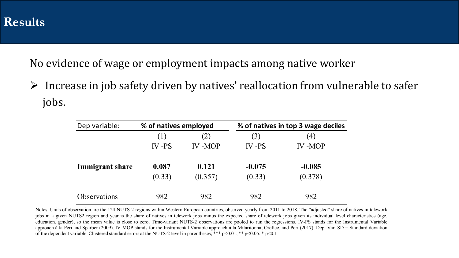No evidence of wage or employment impacts among native worker

 $\triangleright$  Increase in job safety driven by natives' reallocation from vulnerable to safer jobs.

| Dep variable:          | % of natives employed |               | % of natives in top 3 wage deciles |               |  |  |
|------------------------|-----------------------|---------------|------------------------------------|---------------|--|--|
|                        | (1)                   | (2)           | (3)                                | (4)           |  |  |
|                        | $IV - PS$             | <b>IV-MOP</b> | $IV - PS$                          | <b>IV-MOP</b> |  |  |
| <b>Immigrant share</b> | 0.087                 | 0.121         | $-0.075$                           | $-0.085$      |  |  |
|                        | (0.33)                | (0.357)       | (0.33)                             | (0.378)       |  |  |
| <b>Observations</b>    | 982                   | 982           | 982                                | 982           |  |  |

Notes. Units of observation are the 124 NUTS-2 regions within Western European countries, observed yearly from 2011 to 2018. The "adjusted" share of natives in telework jobs in a given NUTS2 region and year is the share of natives in telework jobs minus the expected share of telework jobs given its individual level characteristics (age, education, gender), so the mean value is close to zero. Time-variant NUTS-2 observations are pooled to run the regressions. IV-PS stands for the Instrumental Variable approach à la Peri and Sparber (2009). IV-MOP stands for the Instrumental Variable approach à la Mitaritonna, Orefice, and Peri (2017). Dep. Var. SD = Standard deviation of the dependent variable. Clustered standard errors at the NUTS-2 level in parentheses; \*\*\*  $p<0.01$ , \*\*  $p<0.05$ , \*  $p<0.1$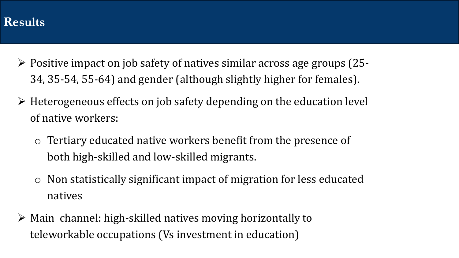# $Results$

- $\triangleright$  Positive impact on job safety of natives similar across age groups (25-34, 35-54, 55-64) and gender (although slightly higher for females).
- $\triangleright$  Heterogeneous effects on job safety depending on the education level of native workers:
	- o Tertiary educated native workers benefit from the presence of both high-skilled and low-skilled migrants.
	- o Non statistically significant impact of migration for less educated natives
- $\triangleright$  Main channel: high-skilled natives moving horizontally to teleworkable occupations (Vs investment in education)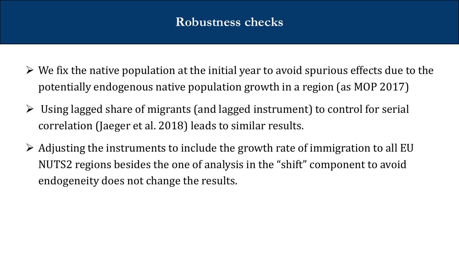# **Robustness checks**

- $\triangleright$  We fix the native population at the initial year to avoid spurious effects due to the potentially endogenous native population growth in a region (as MOP 2017)
- $\triangleright$  Using lagged share of migrants (and lagged instrument) to control for serial correlation (Jaeger et al. 2018) leads to similar results.
- $\triangleright$  Adjusting the instruments to include the growth rate of immigration to all EU NUTS2 regions besides the one of analysis in the "shift" component to avoid endogeneity does not change the results.